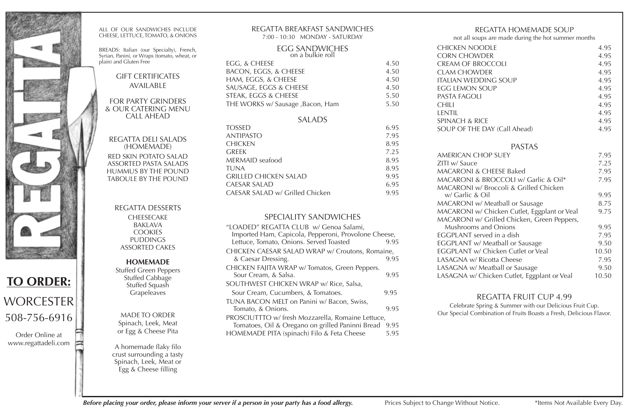

# **TO ORDER:** WORCESTER 508-756-6916

Order Online at www.regattadeli.com

⋳

#### ALL OF OUR SANDWICHES INCLUDE CHEESE, LETTUCE, TOMATO, & ONIONS

BREADS: Italian (our Specialty), French, Syrian, Panini, or Wraps (tomato, wheat, or plain) and Gluten Free

> GIFT CERTIFICATES AVAILABLE

FOR PARTY GRINDERS & OUR CATERING MENU CALL AHEAD

REGATTA DELI SALADS (HOMEMADE) RED SKIN POTATO SALAD ASSORTED PASTA SALADS HUMMUS BY THE POUND TABOULE BY THE POUND

#### REGATTA DESSERTS

CHEESECAKE BAKLAVA COOKIES PUDDINGS ASSORTED CAKES

#### **HOMEMADE**

Stuffed Green Peppers Stuffed Cabbage Stuffed Squash **Grapeleaves** 

MADE TO ORDER Spinach, Leek, Meat or Egg & Cheese Pita

A homemade flaky filo crust surrounding a tasty Spinach, Leek, Meat or Egg & Cheese filling

## REGATTA BREAKFAST SANDWICHES

7:00 - 10:30 MONDAY - SATURDAY

| <b>EGG SANDWICHES</b>            |      |
|----------------------------------|------|
| on a bulkie roll                 |      |
| egg, & cheese                    | 4.50 |
| <b>BACON, EGGS, &amp; CHEESE</b> | 4.50 |
| HAM, EGGS, & CHEESE              | 4.50 |
| SAUSAGE, EGGS & CHEESE           | 4.50 |
| STEAK, EGGS & CHEESE             | 5.50 |
| THE WORKS w/ Sausage, Bacon, Ham | 5.50 |
|                                  |      |

#### SALADS

| <b>TOSSED</b>                   | 6.95 |
|---------------------------------|------|
| <b>ANTIPASTO</b>                | 7.95 |
| <b>CHICKEN</b>                  | 8.95 |
| <b>GREEK</b>                    | 7.25 |
| MERMAID seafood                 | 8.95 |
| <b>TUNA</b>                     | 8.95 |
| <b>GRILLED CHICKEN SALAD</b>    | 9.95 |
| CAESAR SALAD                    | 6.95 |
| CAESAR SALAD w/ Grilled Chicken | 9.95 |
|                                 |      |

#### SPECIALITY SANDWICHES

| "LOADED" REGATTA CLUB w/ Genoa Salami,<br>Imported Ham, Capicola, Pepperoni, Provolone Cheese,<br>Lettuce, Tomato, Onions. Served Toasted | 9.95 |
|-------------------------------------------------------------------------------------------------------------------------------------------|------|
| CHICKEN CAESAR SALAD WRAP w/ Croutons, Romaine,<br>& Caesar Dressing.                                                                     | 9.95 |
| CHICKEN FAJITA WRAP w/Tomatos, Green Peppers.<br>Sour Cream, & Salsa.                                                                     | 9.95 |
| SOUTHWEST CHICKEN WRAP w/ Rice, Salsa,                                                                                                    |      |
| Sour Cream, Cucumbers, & Tomatoes.                                                                                                        | 9.95 |
| TUNA BACON MELT on Panini w/ Bacon, Swiss,                                                                                                |      |
| Tomato, & Onions.                                                                                                                         | 9.95 |
| PROSCIUTTTO w/ fresh Mozzarella, Romaine Lettuce,                                                                                         |      |
| Tomatoes, Oil & Oregano on grilled Paninni Bread                                                                                          | 9.95 |
| HOMEMADE PITA (spinach) Filo & Feta Cheese                                                                                                | 5.95 |

#### REGATTA HOMEMADE SOUP

not all soups are made during the hot summer months

| CHICKEN NOODLE               | 4.95  |
|------------------------------|-------|
| CORN CHOWDER                 | 4.95  |
| CREAM OF BROCCOLI            | 4.95  |
| CLAM CHOWDER                 | 4.95  |
| ITALIAN WEDDING SOUP         | 4.95  |
| EGG LEMON SOUP               | 4.95  |
| PASTA FAGOLI                 | 4.95  |
| CHILI                        | 4.95  |
| LENTIL                       | 4.95  |
| <b>SPINACH &amp; RICE</b>    | 4.95  |
| SOUP OF THE DAY (Call Ahead) | 4.95  |
|                              |       |
| PASTAS                       |       |
| AMERICANI CHOP SHEV          | 7 Q.5 |

| AMERICAN CHOP SUEY                           | 7.95  |
|----------------------------------------------|-------|
| ZITI w/ Sauce                                | 7.25  |
| <b>MACARONI &amp; CHEESE Baked</b>           | 7.95  |
| MACARONI & BROCCOLI w/ Garlic & Oil*         | 7.95  |
| MACARONI w/ Broccoli & Grilled Chicken       |       |
| w/ Garlic & Oil                              | 9.95  |
| MACARONI w/ Meatball or Sausage              | 8.75  |
| MACARONI w/ Chicken Cutlet, Eggplant or Veal | 9.75  |
| MACARONI w/ Grilled Chicken, Green Peppers,  |       |
| Mushrooms and Onions                         | 9.95  |
| EGGPLANT served in a dish                    | 7.95  |
| EGGPLANT w/ Meatball or Sausage              | 9.50  |
| EGGPLANT w/ Chicken Cutlet or Veal           | 10.50 |
| LASAGNA w/ Ricotta Cheese                    | 7.95  |
| LASAGNA w/ Meatball or Sausage               | 9.50  |
| LASAGNA w/ Chicken Cutlet, Eggplant or Veal  | 10.50 |
|                                              |       |

### REGATTA FRUIT CUP 4.99

Celebrate Spring & Summer with our Delicious Fruit Cup. Our Special Combination of Fruits Boasts a Fresh, Delicious Flavor.